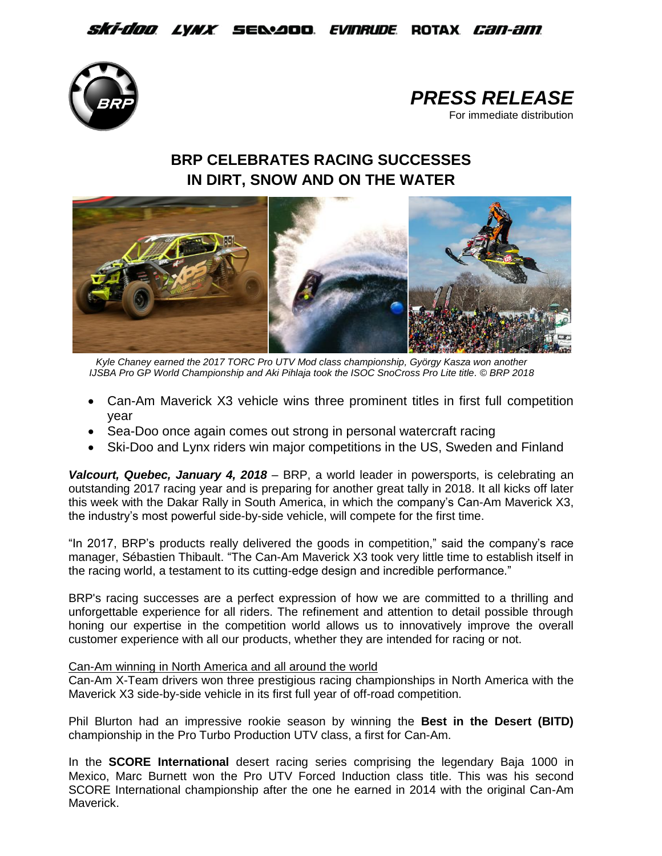## *Ski-doo lynx s*e&aoo *evinrude* rotax *can-am*





# **BRP CELEBRATES RACING SUCCESSES IN DIRT, SNOW AND ON THE WATER**



*Kyle Chaney earned the 2017 TORC Pro UTV Mod class championship, György Kasza won another IJSBA Pro GP World Championship and Aki Pihlaja took the ISOC SnoCross Pro Lite title. © BRP 2018*

- Can-Am Maverick X3 vehicle wins three prominent titles in first full competition year
- Sea-Doo once again comes out strong in personal watercraft racing
- Ski-Doo and Lynx riders win major competitions in the US, Sweden and Finland

*Valcourt, Quebec, January 4, 2018* – BRP, a world leader in powersports, is celebrating an outstanding 2017 racing year and is preparing for another great tally in 2018. It all kicks off later this week with the Dakar Rally in South America, in which the company's Can-Am Maverick X3, the industry's most powerful side-by-side vehicle, will compete for the first time.

"In 2017, BRP's products really delivered the goods in competition," said the company's race manager, Sébastien Thibault. "The Can-Am Maverick X3 took very little time to establish itself in the racing world, a testament to its cutting-edge design and incredible performance."

BRP's racing successes are a perfect expression of how we are committed to a thrilling and unforgettable experience for all riders. The refinement and attention to detail possible through honing our expertise in the competition world allows us to innovatively improve the overall customer experience with all our products, whether they are intended for racing or not.

### Can-Am winning in North America and all around the world

Can-Am X-Team drivers won three prestigious racing championships in North America with the Maverick X3 side-by-side vehicle in its first full year of off-road competition.

Phil Blurton had an impressive rookie season by winning the **Best in the Desert (BITD)** championship in the Pro Turbo Production UTV class, a first for Can-Am.

In the **SCORE International** desert racing series comprising the legendary Baja 1000 in Mexico, Marc Burnett won the Pro UTV Forced Induction class title. This was his second SCORE International championship after the one he earned in 2014 with the original Can-Am Maverick.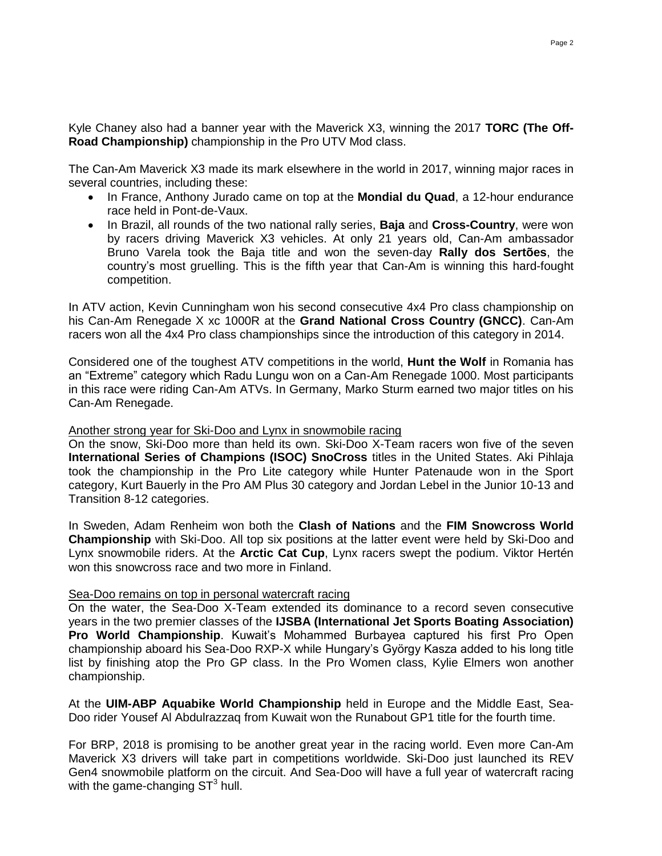Kyle Chaney also had a banner year with the Maverick X3, winning the 2017 **TORC (The Off-Road Championship)** championship in the Pro UTV Mod class.

The Can-Am Maverick X3 made its mark elsewhere in the world in 2017, winning major races in several countries, including these:

- In France, Anthony Jurado came on top at the **Mondial du Quad**, a 12-hour endurance race held in Pont-de-Vaux.
- In Brazil, all rounds of the two national rally series, **Baja** and **Cross-Country**, were won by racers driving Maverick X3 vehicles. At only 21 years old, Can-Am ambassador Bruno Varela took the Baja title and won the seven-day **Rally dos Sertões**, the country's most gruelling. This is the fifth year that Can-Am is winning this hard-fought competition.

In ATV action, Kevin Cunningham won his second consecutive 4x4 Pro class championship on his Can-Am Renegade X xc 1000R at the **Grand National Cross Country (GNCC)**. Can-Am racers won all the 4x4 Pro class championships since the introduction of this category in 2014.

Considered one of the toughest ATV competitions in the world, **Hunt the Wolf** in Romania has an "Extreme" category which Radu Lungu won on a Can-Am Renegade 1000. Most participants in this race were riding Can-Am ATVs. In Germany, Marko Sturm earned two major titles on his Can-Am Renegade.

#### Another strong year for Ski-Doo and Lynx in snowmobile racing

On the snow, Ski-Doo more than held its own. Ski-Doo X-Team racers won five of the seven **International Series of Champions (ISOC) SnoCross** titles in the United States. Aki Pihlaja took the championship in the Pro Lite category while Hunter Patenaude won in the Sport category, Kurt Bauerly in the Pro AM Plus 30 category and Jordan Lebel in the Junior 10-13 and Transition 8-12 categories.

In Sweden, Adam Renheim won both the **Clash of Nations** and the **FIM Snowcross World Championship** with Ski-Doo. All top six positions at the latter event were held by Ski-Doo and Lynx snowmobile riders. At the **Arctic Cat Cup**, Lynx racers swept the podium. Viktor Hertén won this snowcross race and two more in Finland.

#### Sea-Doo remains on top in personal watercraft racing

On the water, the Sea-Doo X-Team extended its dominance to a record seven consecutive years in the two premier classes of the **IJSBA (International Jet Sports Boating Association) Pro World Championship**. Kuwait's Mohammed Burbayea captured his first Pro Open championship aboard his Sea-Doo RXP-X while Hungary's György Kasza added to his long title list by finishing atop the Pro GP class. In the Pro Women class, Kylie Elmers won another championship.

At the **UIM-ABP Aquabike World Championship** held in Europe and the Middle East, Sea-Doo rider Yousef Al Abdulrazzaq from Kuwait won the Runabout GP1 title for the fourth time.

For BRP, 2018 is promising to be another great year in the racing world. Even more Can-Am Maverick X3 drivers will take part in competitions worldwide. Ski-Doo just launched its REV Gen4 snowmobile platform on the circuit. And Sea-Doo will have a full year of watercraft racing with the game-changing  $ST<sup>3</sup>$  hull.